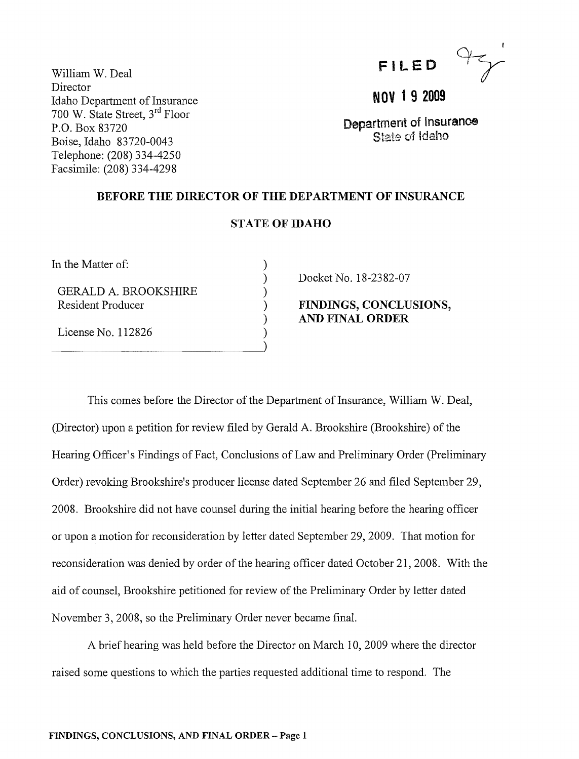|  |  | FILED |  |
|--|--|-------|--|
|  |  |       |  |

William W. Deal Director Idaho Department of Insurance 700 W. State Street, 3rd Floor P.O. Box 83720 Boise, Idaho 83720-0043 Telephone: (208) 334-4250 Facsimile: (208) 334-4298

# NOV 1 9 2009

Department of Insurance State of Idaho

### BEFORE THE DIRECTOR OF THE DEPARTMENT OF INSURANCE

# STATE OF IDAHO

) ) ) ) ) ) )

In the Matter of:

GERALD A. BROOKSHIRE Resident Producer

License No. 112826

Docket No. 18-2382-07

FINDINGS, CONCLUSIONS, AND FINAL ORDER

This comes before the Director of the Department of Insurance, William W. Deal, (Director) upon a petition for review filed by Gerald A. Brookshire (Brookshire) of the Hearing Officer's Findings of Fact, Conclusions of Law and Preliminary Order (Preliminary Order) revoking Brookshire's producer license dated September 26 and filed September 29, 2008. Brookshire did not have counsel during the initial hearing before the hearing officer or upon a motion for reconsideration by letter dated September 29,2009. That motion for reconsideration was denied by order of the hearing officer dated October 21,2008. With the aid of counsel, Brookshire petitioned for review of the Preliminary Order by letter dated November 3,2008, so the Preliminary Order never became final.

A brief hearing was held before the Director on March 10, 2009 where the director raised some questions to which the parties requested additional time to respond. The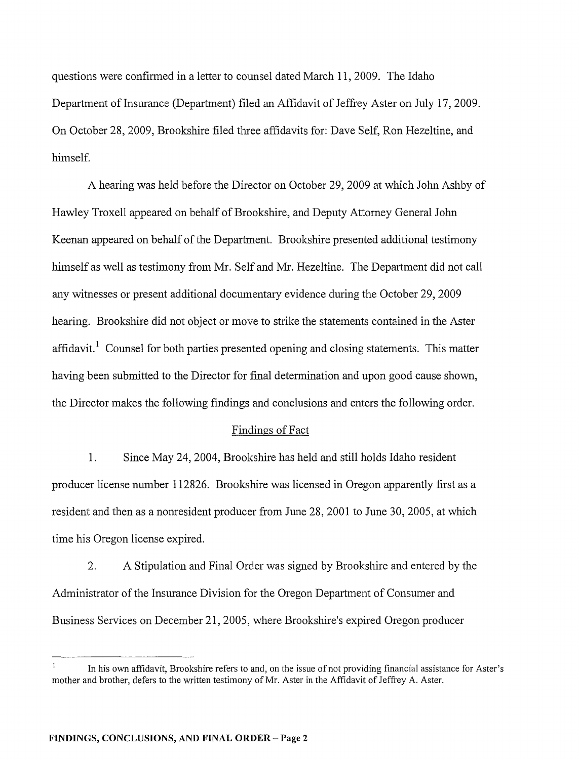questions were confirmed in a letter to counsel dated March 11, 2009. The Idaho Department of Insurance (Department) filed an Affidavit of Jeffrey Aster on July 17, 2009. On October 28,2009, Brookshire filed three affidavits for: Dave Self, Ron Hezeltine, and himself.

A hearing was held before the Director on October 29,2009 at which John Ashby of Hawley Troxell appeared on behalf of Brookshire, and Deputy Attorney General John Keenan appeared on behalf of the Department. Brookshire presented additional testimony himself as well as testimony from Mr. Self and Mr. Hezeltine. The Department did not call any witnesses or present additional documentary evidence during the October 29,2009 hearing. Brookshire did not object or move to strike the statements contained in the Aster affidavit.<sup>1</sup> Counsel for both parties presented opening and closing statements. This matter having been submitted to the Director for final determination and upon good cause shown, the Director makes the following findings and conclusions and enters the following order.

### Findings of Fact

1. Since May 24, 2004, Brookshire has held and still holds Idaho resident producer license number 112826. Brookshire was licensed in Oregon apparently first as a resident and then as a nonresident producer from June 28,2001 to June 30, 2005, at which time his Oregon license expired.

2. A Stipulation and Final Order was signed by Brookshire and entered by the Administrator of the Insurance Division for the Oregon Department of Consumer and Business Services on December 21,2005, where Brookshire's expired Oregon producer

In his own affidavit, Brookshire refers to and, on the issue of not providing financial assistance for Aster's mother and brother, defers to the written testimony of Mr. Aster in the Affidavit of Jeffrey A. Aster.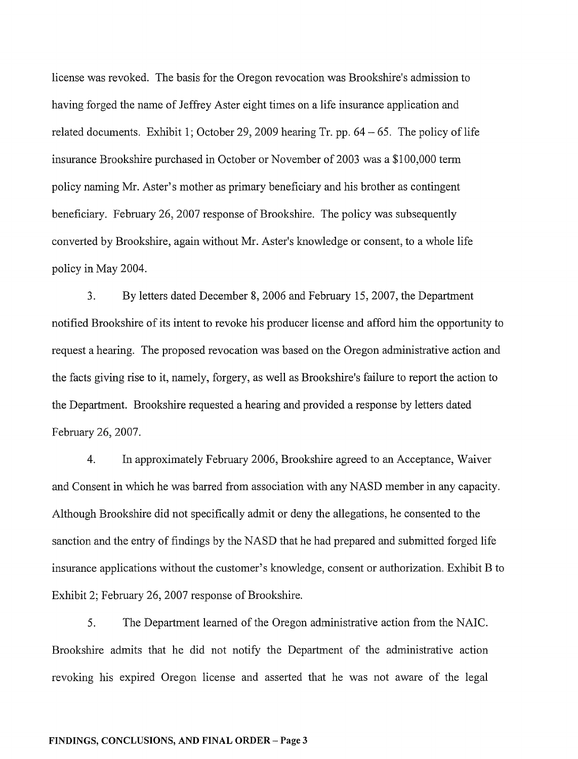license was revoked. The basis for the Oregon revocation was Brookshire's admission to having forged the name of Jeffrey Aster eight times on a life insurance application and related documents. Exhibit 1; October 29, 2009 hearing Tr. pp.  $64 - 65$ . The policy of life insurance Brookshire purchased in October or November of 2003 was a \$100,000 term policy naming Mr. Aster's mother as primary beneficiary and his brother as contingent beneficiary. February 26, 2007 response of Brookshire. The policy was subsequently converted by Brookshire, again without Mr. Aster's knowledge or consent, to a whole life policy in May 2004.

3. By letters dated December 8, 2006 and February 15,2007, the Department notified Brookshire of its intent to revoke his producer license and afford him the opportunity to request a hearing. The proposed revocation was based on the Oregon administrative action and the facts giving rise to it, namely, forgery, as well as Brookshire's failure to report the action to the Department. Brookshire requested a hearing and provided a response by letters dated February 26,2007.

4. In approximately February 2006, Brookshire agreed to an Acceptance, Waiver and Consent in which he was barred from association with any NASD member in any capacity. Although Brookshire did not specifically admit or deny the allegations, he consented to the sanction and the entry of findings by the NASD that he had prepared and submitted forged life insurance applications without the customer's knowledge, consent or authorization. Exhibit B to Exhibit 2; February 26, 2007 response of Brookshire.

5. The Department learned of the Oregon administrative action from the NAIC. Brookshire admits that he did not notify the Department of the administrative action revoking his expired Oregon license and asserted that he was not aware of the legal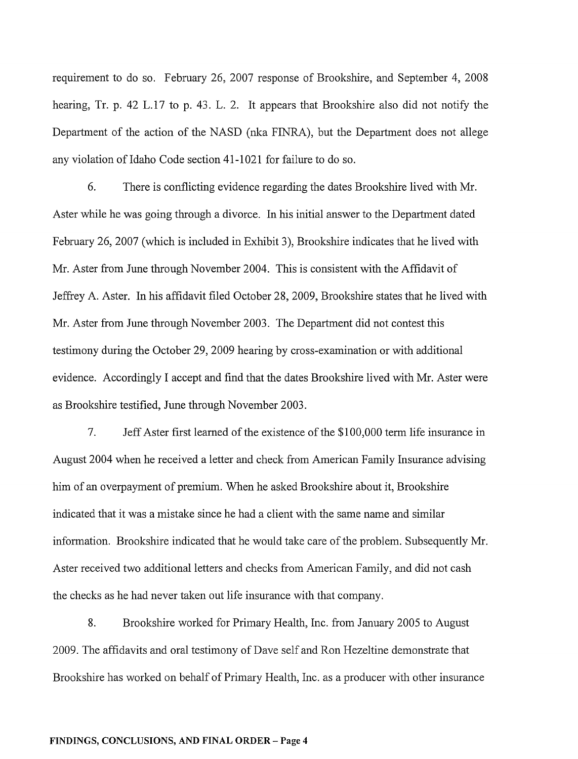requirement to do so. February 26, 2007 response of Brookshire, and September 4, 2008 hearing, Tr. p. 42 L.17 to p. 43. L. 2. It appears that Brookshire also did not notify the Department of the action of the NASD (nka FINRA), but the Department does not allege any violation of Idaho Code section 41-1021 for failure to do so.

6. There is conflicting evidence regarding the dates Brookshire lived with Mr. Aster while he was going through a divorce. In his initial answer to the Department dated February 26, 2007 (which is included in Exhibit 3), Brookshire indicates that he lived with Mr. Aster from June through November 2004. This is consistent with the Affidavit of Jeffrey A. Aster. In his affidavit filed October 28,2009, Brookshire states that he lived with Mr. Aster from June through November 2003. The Department did not contest this testimony during the October 29,2009 hearing by cross-examination or with additional evidence. Accordingly I accept and find that the dates Brookshire lived with Mr. Aster were as Brookshire testified, June through November 2003.

7. Jeff Aster first learned of the existence of the \$100,000 term life insurance in August 2004 when he received a letter and check from American Family Insurance advising him of an overpayment of premium. When he asked Brookshire about it, Brookshire indicated that it was a mistake since he had a client with the same name and similar information. Brookshire indicated that he would take care of the problem. Subsequently Mr. Aster received two additional letters and checks from American Family, and did not cash the checks as he had never taken out life insurance with that company.

8. Brookshire worked for Primary Health, Inc. from January 2005 to August 2009. The affidavits and oral testimony of Dave self and Ron Hezeltine demonstrate that Brookshire has worked on behalf of Primary Health, Inc. as a producer with other insurance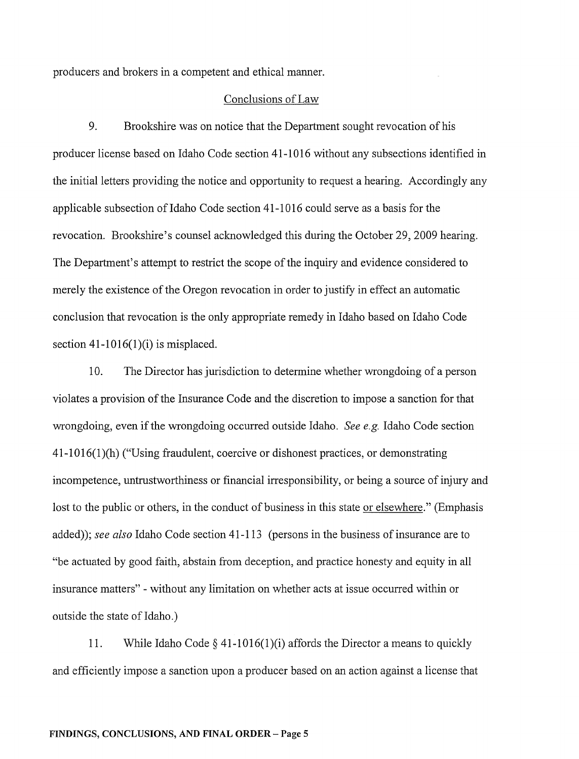producers and brokers in a competent and ethical manner.

#### Conclusions of Law

9. Brookshire was on notice that the Department sought revocation of his producer license based on Idaho Code section 41-1016 without any subsections identified in the initial letters providing the notice and opportunity to request a hearing. Accordingly any applicable subsection of Idaho Code section 41-1016 could serve as a basis for the revocation. Brookshire's counsel acknowledged this during the October 29,2009 hearing. The Department's attempt to restrict the scope of the inquiry and evidence considered to merely the existence of the Oregon revocation in order to justify in effect an automatic conclusion that revocation is the only appropriate remedy in Idaho based on Idaho Code section  $41-1016(1)$  (i) is misplaced.

10. The Director has jurisdiction to determine whether wrongdoing of a person violates a provision of the Insurance Code and the discretion to impose a sanction for that wrongdoing, even if the wrongdoing occurred outside Idaho. *See e.g.* Idaho Code section 41-1016(1)(h) ("Using fraudulent, coercive or dishonest practices, or demonstrating incompetence, untrustworthiness or financial irresponsibility, or being a source of injury and lost to the public or others, in the conduct of business in this state or elsewhere." (Emphasis added)); *see also* Idaho Code section 41-113 (persons in the business of insurance are to "be actuated by good faith, abstain from deception, and practice honesty and equity in all insurance matters" - without any limitation on whether acts at issue occurred within or outside the state of Idaho.)

11. While Idaho Code  $\S$  41-1016(1)(i) affords the Director a means to quickly and efficiently impose a sanction upon a producer based on an action against a license that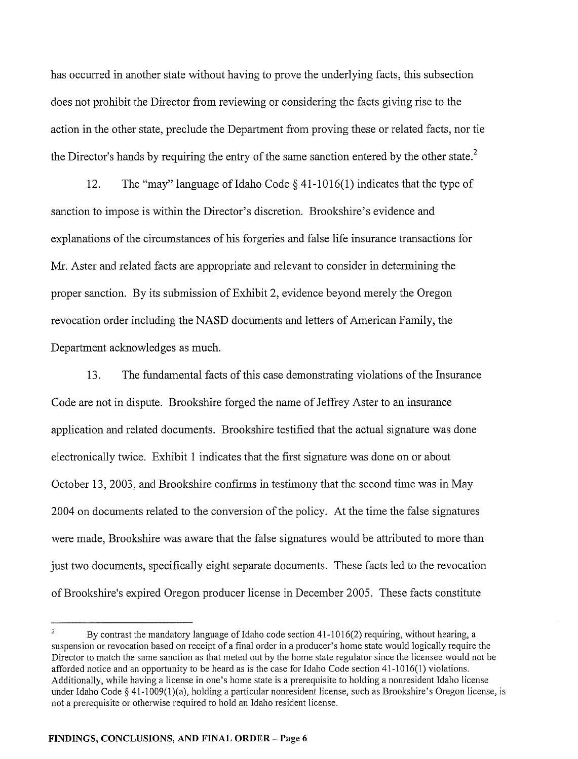has occurred in another state without having to prove the underlying facts, this subsection does not prohibit the Director from reviewing or considering the facts giving rise to the action in the other state, preclude the Department from proving these or related facts, nor tie the Director's hands by requiring the entry of the same sanction entered by the other state. $2$ 

12. The "may" language of Idaho Code  $\S$  41-1016(1) indicates that the type of sanction to impose is within the Director's discretion. Brookshire's evidence and explanations of the circumstances of his forgeries and false life insurance transactions for Mr. Aster and related facts are appropriate and relevant to consider in determining the proper sanction. By its submission of Exhibit 2, evidence beyond merely the Oregon revocation order including the NASD documents and letters of American Family, the Department acknowledges as much.

13. The fundamental facts of this case demonstrating violations of the Insurance Code are not in dispute. Brookshire forged the name of Jeffrey Aster to an insurance application and related documents. Brookshire testified that the actual signature was done electronically twice. Exhibit 1 indicates that the first signature was done on or about October 13, 2003, and Brookshire confirms in testimony that the second time was in May 2004 on documents related to the conversion of the policy. At the time the false signatures were made, Brookshire was aware that the false signatures would be attributed to more than just two documents, specifically eight separate documents. These facts led to the revocation of Brookshire's expired Oregon producer license in December 2005. These facts constitute

By contrast the mandatory language of Idaho code section  $41-1016(2)$  requiring, without hearing, a suspension or revocation based on receipt of a final order in a producer's home state would logically require the Director to match the same sanction as that meted out by the home state regulator since the licensee would not be afforded notice and an opportunity to be heard as is the case for Idaho Code section 41-1016(1) violations. Additionally, while having a license in one's home state is a prerequisite to holding a nonresident Idaho license under Idaho Code § 41-1009(l)(a), holding a particular nonresident license, such as Brookshire's Oregon license, is not a prerequisite or otherwise required to hold an Idaho resident license.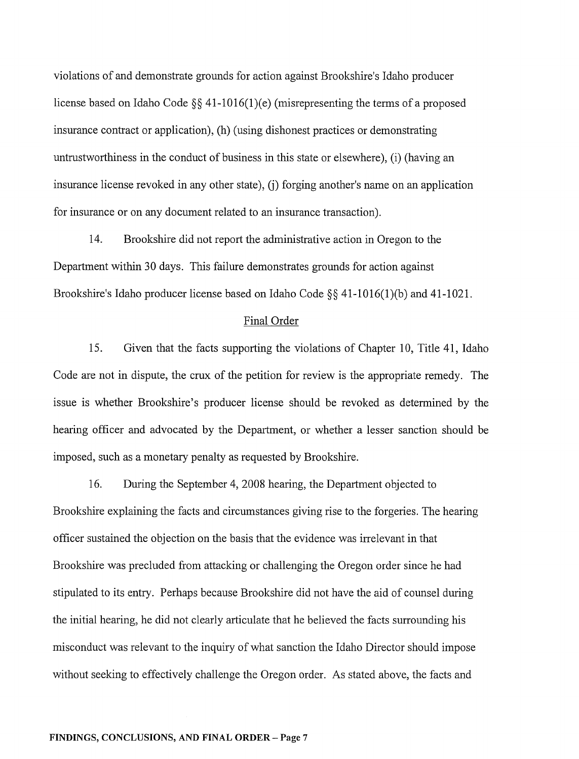violations of and demonstrate grounds for action against Brookshire's Idaho producer license based on Idaho Code §§ 41-1016(1)(e) (misrepresenting the terms of a proposed insurance contract or application), (h) (using dishonest practices or demonstrating untrustworthiness in the conduct of business in this state or elsewhere), (i) (having an insurance license revoked in any other state), (j) forging another's name on an application for insurance or on any document related to an insurance transaction).

14. Brookshire did not report the administrative action in Oregon to the Department within 30 days. This failure demonstrates grounds for action against Brookshire's Idaho producer license based on Idaho Code §§ 41-1016(1)(b) and 41-1021.

#### Final Order

15. Given that the facts supporting the violations of Chapter 10, Title 41, Idaho Code are not in dispute, the crux of the petition for review is the appropriate remedy. The issue is whether Brookshire's producer license should be revoked as determined by the hearing officer and advocated by the Department, or whether a lesser sanction should be imposed, such as a monetary penalty as requested by Brookshire.

16. During the September 4,2008 hearing, the Department objected to Brookshire explaining the facts and circumstances giving rise to the forgeries. The hearing officer sustained the objection on the basis that the evidence was irrelevant in that Brookshire was precluded from attacking or challenging the Oregon order since he had stipulated to its entry. Perhaps because Brookshire did not have the aid of counsel during the initial hearing, he did not clearly articulate that he believed the facts surrounding his misconduct was relevant to the inquiry of what sanction the Idaho Director should impose without seeking to effectively challenge the Oregon order. As stated above, the facts and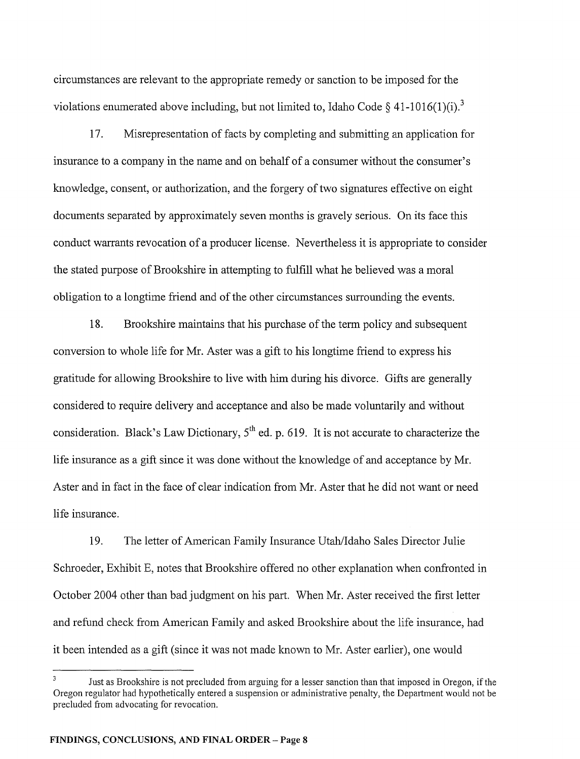circumstances are relevant to the appropriate remedy or sanction to be imposed for the violations enumerated above including, but not limited to, Idaho Code  $\delta$  41-1016(1)(i).<sup>3</sup>

17. Misrepresentation of facts by completing and submitting an application for insurance to a company in the name and on behalf of a consumer without the consumer's knowledge, consent, or authorization, and the forgery of two signatures effective on eight documents separated by approximately seven months is gravely serious. On its face this conduct warrants revocation of a producer license. Nevertheless it is appropriate to consider the stated purpose of Brookshire in attempting to fulfill what he believed was a moral obligation to a longtime friend and ofthe other circumstances surrounding the events.

18. Brookshire maintains that his purchase of the term policy and subsequent conversion to whole life for Mr. Aster was a gift to his longtime friend to express his gratitude for allowing Brookshire to live with him during his divorce. Gifts are generally considered to require delivery and acceptance and also be made voluntarily and without consideration. Black's Law Dictionary, 5<sup>th</sup> ed. p. 619. It is not accurate to characterize the life insurance as a gift since it was done without the knowledge of and acceptance by Mr. Aster and in fact in the face of clear indication from Mr. Aster that he did not want or need life insurance.

19. The letter of American Family Insurance Utah/Idaho Sales Director Julie Schroeder, Exhibit E, notes that Brookshire offered no other explanation when confronted in October 2004 other than bad judgment on his part. When Mr. Aster received the first letter and refund check from American Family and asked Brookshire about the life insurance, had it been intended as a gift (since it was not made known to Mr. Aster earlier), one would

Just as Brookshire is not precluded from arguing for a lesser sanction than that imposed in Oregon, if the Oregon regulator had hypothetically entered a suspension or administrative penalty, the Department would not be precluded from advocating for revocation.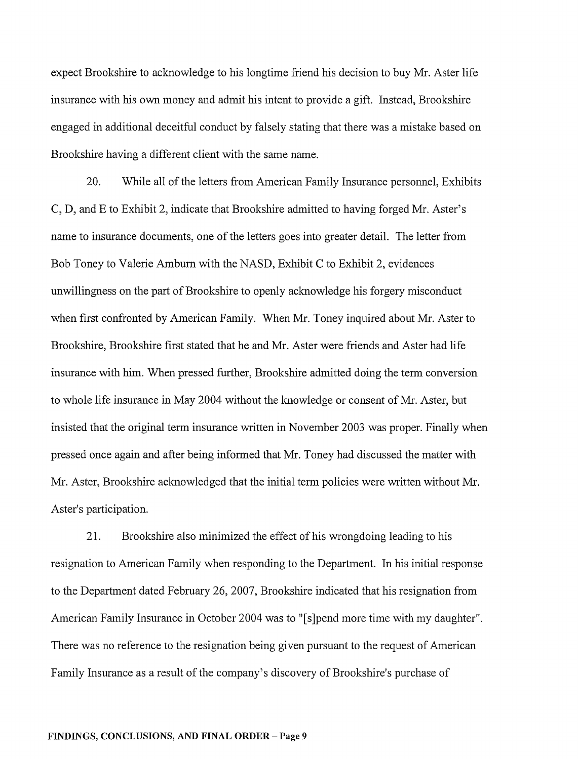expect Brookshire to acknowledge to his longtime friend his decision to buy Mr. Aster life insurance with his own money and admit his intent to provide a gift. Instead, Brookshire engaged in additional deceitful conduct by falsely stating that there was a mistake based on Brookshire having a different client with the same name.

20. While all of the letters from American Family Insurance personnel, Exhibits C, D, and E to Exhibit 2, indicate that Brookshire admitted to having forged Mr. Aster's name to insurance documents, one of the letters goes into greater detail. The letter from Bob Toney to Valerie Amburn with the NASD, Exhibit C to Exhibit 2, evidences unwillingness on the part of Brookshire to openly acknowledge his forgery misconduct when first confronted by American Family. When Mr. Toney inquired about Mr. Aster to Brookshire, Brookshire first stated that he and Mr. Aster were friends and Aster had life insurance with him. When pressed further, Brookshire admitted doing the term conversion to whole life insurance in May 2004 without the knowledge or consent of Mr. Aster, but insisted that the original term insurance written in November 2003 was proper. Finally when pressed once again and after being informed that Mr. Toney had discussed the matter with Mr. Aster, Brookshire acknowledged that the initial term policies were written without Mr. Aster's participation.

21. Brookshire also minimized the effect of his wrongdoing leading to his resignation to American Family when responding to the Department. In his initial response to the Department dated February 26,2007, Brookshire indicated that his resignation from American Family Insurance in October 2004 was to "[s]pend more time with my daughter". There was no reference to the resignation being given pursuant to the request of American Family Insurance as a result of the company's discovery of Brookshire's purchase of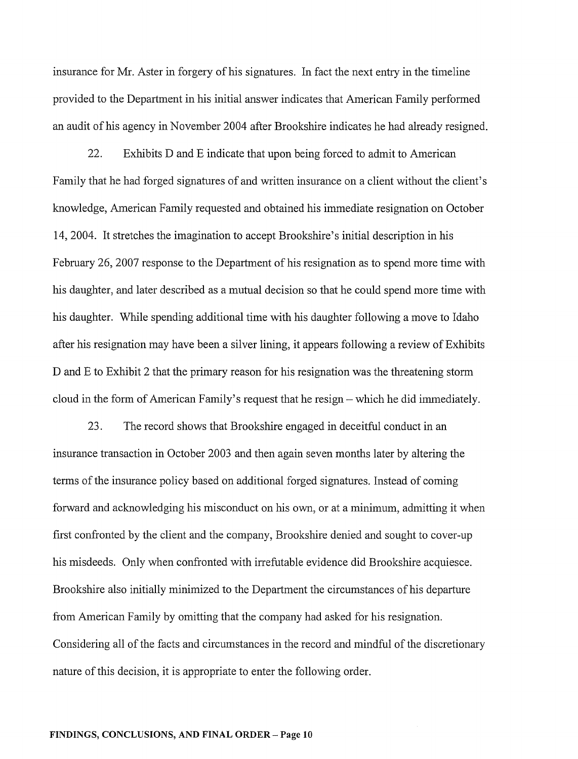insurance for Mr. Aster in forgery of his signatures. In fact the next entry in the timeline provided to the Department in his initial answer indicates that American Family performed an audit of his agency in November 2004 after Brookshire indicates he had already resigned.

22. Exhibits D and E indicate that upon being forced to admit to American Family that he had forged signatures of and written insurance on a client without the client's knowledge, American Family requested and obtained his immediate resignation on October 14,2004. It stretches the imagination to accept Brookshire's initial description in his February 26, 2007 response to the Department of his resignation as to spend more time with his daughter, and later described as a mutual decision so that he could spend more time with his daughter. While spending additional time with his daughter following a move to Idaho after his resignation may have been a silver lining, it appears following a review of Exhibits D and E to Exhibit 2 that the primary reason for his resignation was the threatening storm cloud in the form of American Family's request that he resign – which he did immediately.

23. The record shows that Brookshire engaged in deceitful conduct in an insurance transaction in October 2003 and then again seven months later by altering the tenns of the insurance policy based on additional forged signatures. Instead of coming forward and acknowledging his misconduct on his own, or at a minimum, admitting it when first confronted by the client and the company, Brookshire denied and sought to cover-up his misdeeds. Only when confronted with irrefutable evidence did Brookshire acquiesce. Brookshire also initially minimized to the Department the circumstances of his departure from American Family by omitting that the company had asked for his resignation. Considering all of the facts and circumstances in the record and mindful of the discretionary nature of this decision, it is appropriate to enter the following order.

#### **FINDINGS, CONCLUSIONS, AND FINAL ORDER-Page 10**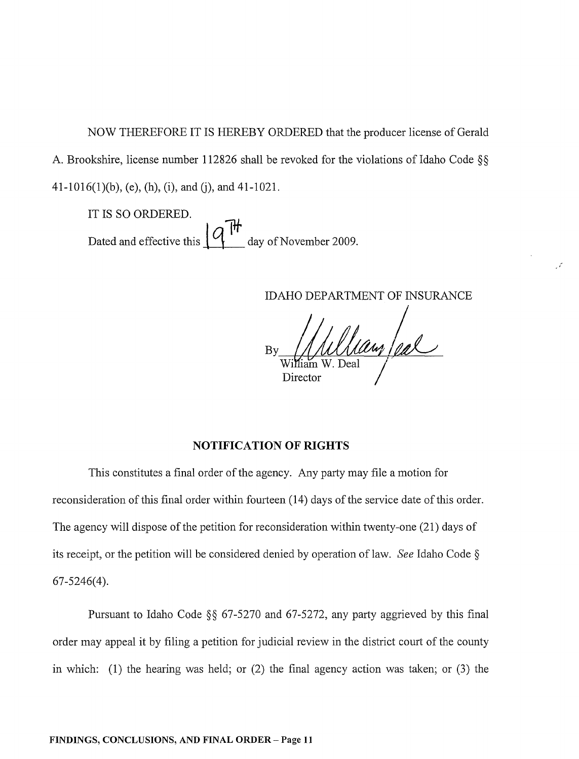NOW THEREFORE IT IS HEREBY ORDERED that the producer license of Gerald A. Brookshire, license number 112826 shall be revoked for the violations of Idaho Code §§ 41-1016(1)(b), (e), (h), (i), and (j), and 41-1021.

IT IS SO ORDERED. Dated and effective this  $\left\{Q \right\}$ <sup>1</sup> day of November 2009.

IDAHO DEPARTMENT OF INSURANCE

(

By ~ ~/~ / William W. Deal **I** Director

### **NOTIFICATION OF RIGHTS**

This constitutes a final order of the agency. Any party may file a motion for reconsideration of this final order within fourteen (14) days of the service date of this order. The agency will dispose of the petition for reconsideration within twenty-one (21) days of its receipt, or the petition will be considered denied by operation of law. *See* Idaho Code § 67-5246(4).

Pursuant to Idaho Code §§ 67-5270 and 67-5272, any party aggrieved by this final order may appeal it by filing a petition for judicial review in the district court of the county in which: (1) the hearing was held; or (2) the final agency action was taken; or (3) the